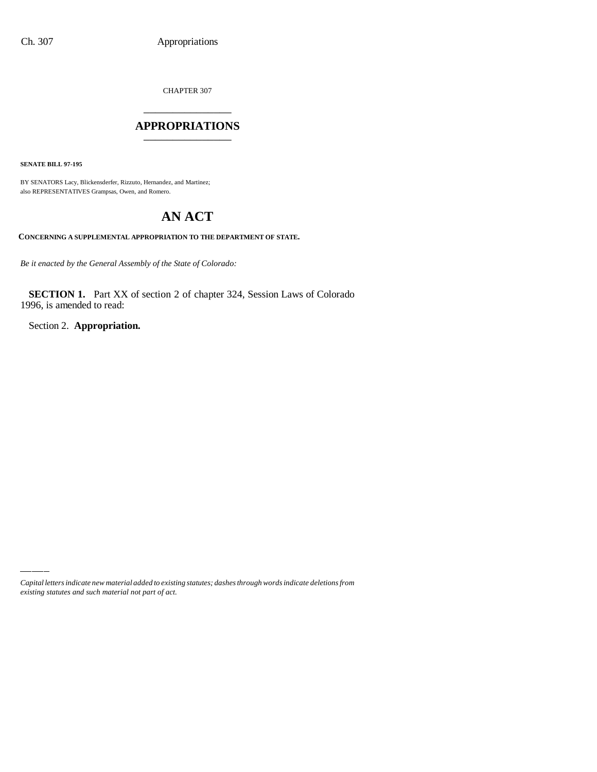CHAPTER 307

# \_\_\_\_\_\_\_\_\_\_\_\_\_\_\_ **APPROPRIATIONS** \_\_\_\_\_\_\_\_\_\_\_\_\_\_\_

**SENATE BILL 97-195**

BY SENATORS Lacy, Blickensderfer, Rizzuto, Hernandez, and Martinez; also REPRESENTATIVES Grampsas, Owen, and Romero.

# **AN ACT**

#### **CONCERNING A SUPPLEMENTAL APPROPRIATION TO THE DEPARTMENT OF STATE.**

*Be it enacted by the General Assembly of the State of Colorado:*

**SECTION 1.** Part XX of section 2 of chapter 324, Session Laws of Colorado 1996, is amended to read:

Section 2. **Appropriation.**

*Capital letters indicate new material added to existing statutes; dashes through words indicate deletions from existing statutes and such material not part of act.*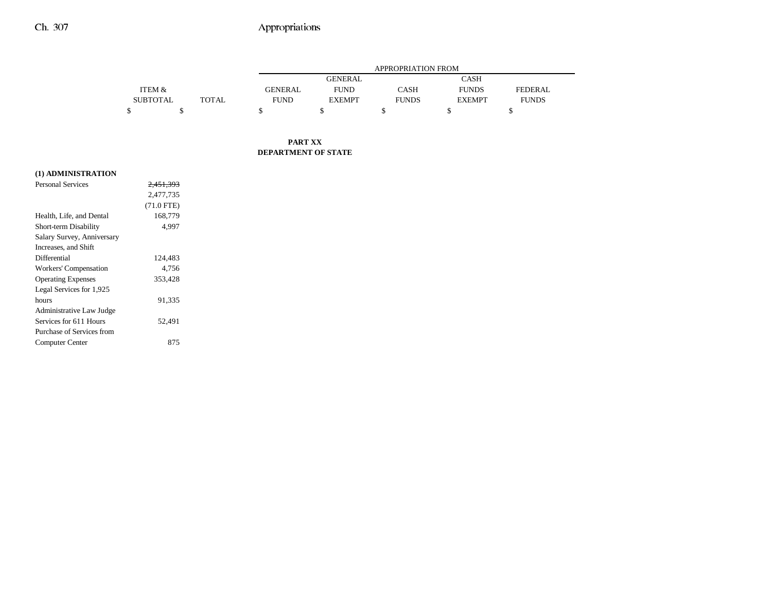## Ch. 307 Appropriations

|                   |       |                | <b>APPROPRIATION FROM</b> |              |               |              |  |
|-------------------|-------|----------------|---------------------------|--------------|---------------|--------------|--|
|                   |       |                | GENERAL                   |              | <b>CASH</b>   |              |  |
| <b>ITEM &amp;</b> |       | <b>GENERAL</b> | <b>FUND</b>               | CASH         | <b>FUNDS</b>  | FEDERAL.     |  |
| <b>SUBTOTAL</b>   | TOTAL | <b>FUND</b>    | <b>EXEMPT</b>             | <b>FUNDS</b> | <b>EXEMPT</b> | <b>FUNDS</b> |  |
|                   |       |                |                           |              |               |              |  |

#### **PART XX DEPARTMENT OF STATE**

### **(1) ADMINISTRATION**

| <b>Personal Services</b>   | <del>2.451.393</del> |  |
|----------------------------|----------------------|--|
|                            | 2,477,735            |  |
|                            | $(71.0$ FTE)         |  |
| Health, Life, and Dental   | 168,779              |  |
| Short-term Disability      | 4.997                |  |
| Salary Survey, Anniversary |                      |  |
| Increases, and Shift       |                      |  |
| Differential               | 124,483              |  |
| Workers' Compensation      | 4.756                |  |
| <b>Operating Expenses</b>  | 353,428              |  |
| Legal Services for 1,925   |                      |  |
| hours                      | 91,335               |  |
| Administrative Law Judge   |                      |  |
| Services for 611 Hours     | 52.491               |  |
| Purchase of Services from  |                      |  |
| Computer Center            | 875                  |  |
|                            |                      |  |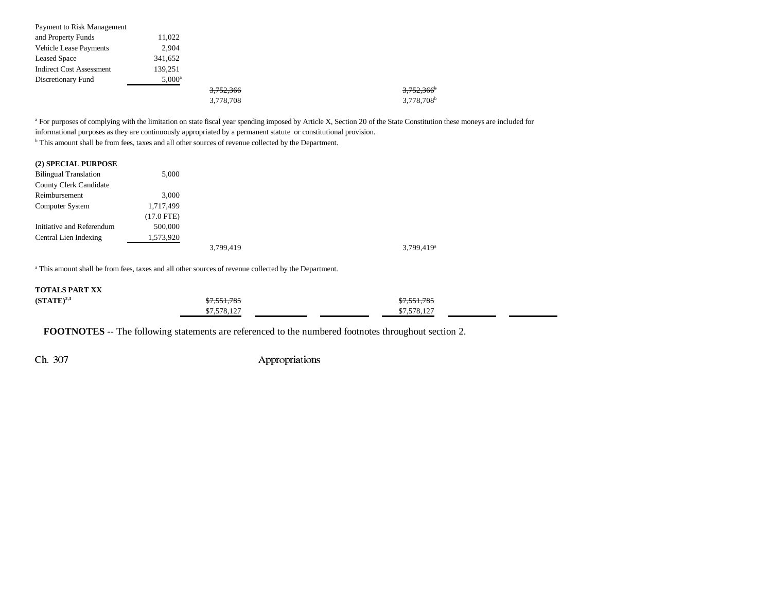| Payment to Risk Management      |                 |           |                          |
|---------------------------------|-----------------|-----------|--------------------------|
| and Property Funds              | 11,022          |           |                          |
| <b>Vehicle Lease Payments</b>   | 2,904           |           |                          |
| <b>Leased Space</b>             | 341,652         |           |                          |
| <b>Indirect Cost Assessment</b> | 139.251         |           |                          |
| Discretionary Fund              | $5,000^{\rm a}$ |           |                          |
|                                 |                 | 3,752,366 | $3,752,366$ <sup>b</sup> |
|                                 |                 | 3,778,708 | 3,778,708 <sup>b</sup>   |

<sup>a</sup> For purposes of complying with the limitation on state fiscal year spending imposed by Article X, Section 20 of the State Constitution these moneys are included for informational purposes as they are continuously appropriated by a permanent statute or constitutional provision.

b This amount shall be from fees, taxes and all other sources of revenue collected by the Department.

#### **(2) SPECIAL PURPOSE**

| <b>Bilingual Translation</b>  | 5,000      |           |                          |
|-------------------------------|------------|-----------|--------------------------|
| <b>County Clerk Candidate</b> |            |           |                          |
| Reimbursement                 | 3,000      |           |                          |
| Computer System               | 1,717,499  |           |                          |
|                               | (17.0 FTE) |           |                          |
| Initiative and Referendum     | 500,000    |           |                          |
| Central Lien Indexing         | 1,573,920  |           |                          |
|                               |            | 3,799,419 | $3.799.419$ <sup>a</sup> |

a This amount shall be from fees, taxes and all other sources of revenue collected by the Department.

#### **TOTALS PART XX**

| $(STATE)^{2,3}$ | <del>\$7,551,785</del> | \$7,551,785 |  |
|-----------------|------------------------|-------------|--|
|                 | \$7,578,127            | \$7,578,127 |  |

**FOOTNOTES** -- The following statements are referenced to the numbered footnotes throughout section 2.

Ch. 307 Appropriations